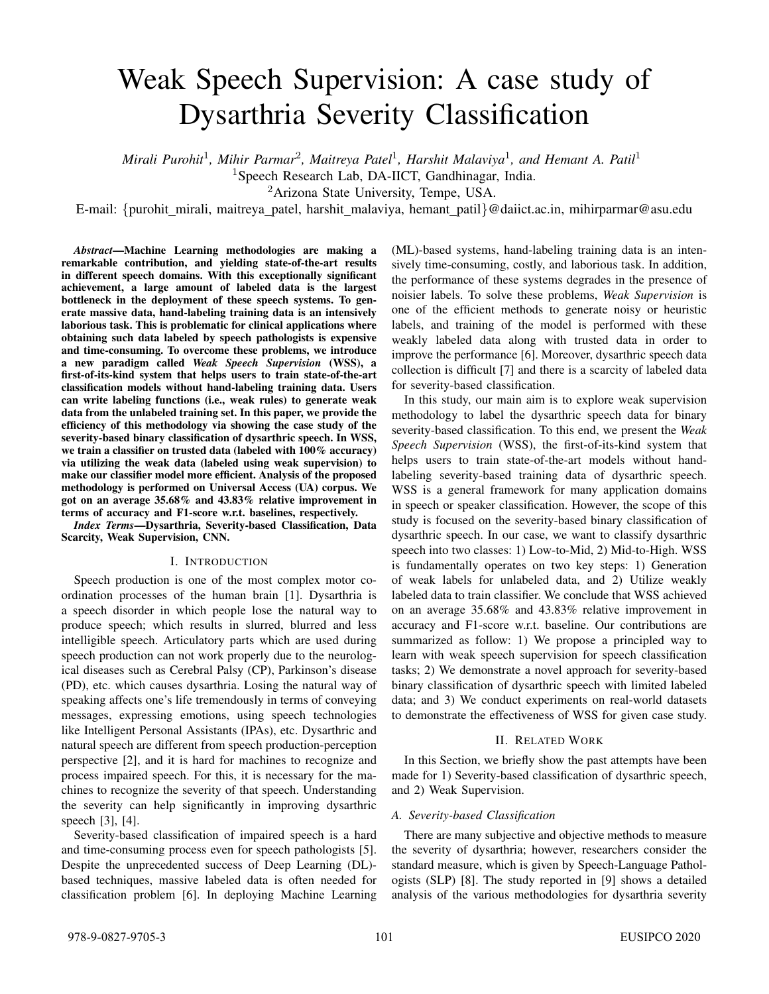# Weak Speech Supervision: A case study of Dysarthria Severity Classification

 $M$ irali Purohit<sup>1</sup>, Mihir Parmar<sup>2</sup>, Maitreya Patel<sup>1</sup>, Harshit Malaviya<sup>1</sup>, and Hemant A. Patil<sup>1</sup>

<sup>1</sup>Speech Research Lab, DA-IICT, Gandhinagar, India.

<sup>2</sup>Arizona State University, Tempe, USA.

E-mail: {purohit mirali, maitreya patel, harshit malaviya, hemant patil}@daiict.ac.in, mihirparmar@asu.edu

*Abstract*—Machine Learning methodologies are making a remarkable contribution, and yielding state-of-the-art results in different speech domains. With this exceptionally significant achievement, a large amount of labeled data is the largest bottleneck in the deployment of these speech systems. To generate massive data, hand-labeling training data is an intensively laborious task. This is problematic for clinical applications where obtaining such data labeled by speech pathologists is expensive and time-consuming. To overcome these problems, we introduce a new paradigm called *Weak Speech Supervision* (WSS), a first-of-its-kind system that helps users to train state-of-the-art classification models without hand-labeling training data. Users can write labeling functions (i.e., weak rules) to generate weak data from the unlabeled training set. In this paper, we provide the efficiency of this methodology via showing the case study of the severity-based binary classification of dysarthric speech. In WSS, we train a classifier on trusted data (labeled with 100% accuracy) via utilizing the weak data (labeled using weak supervision) to make our classifier model more efficient. Analysis of the proposed methodology is performed on Universal Access (UA) corpus. We got on an average 35.68% and 43.83% relative improvement in terms of accuracy and F1-score w.r.t. baselines, respectively.

*Index Terms*—Dysarthria, Severity-based Classification, Data Scarcity, Weak Supervision, CNN.

#### I. INTRODUCTION

Speech production is one of the most complex motor coordination processes of the human brain [1]. Dysarthria is a speech disorder in which people lose the natural way to produce speech; which results in slurred, blurred and less intelligible speech. Articulatory parts which are used during speech production can not work properly due to the neurological diseases such as Cerebral Palsy (CP), Parkinson's disease (PD), etc. which causes dysarthria. Losing the natural way of speaking affects one's life tremendously in terms of conveying messages, expressing emotions, using speech technologies like Intelligent Personal Assistants (IPAs), etc. Dysarthric and natural speech are different from speech production-perception perspective [2], and it is hard for machines to recognize and process impaired speech. For this, it is necessary for the machines to recognize the severity of that speech. Understanding the severity can help significantly in improving dysarthric speech [3], [4].

Severity-based classification of impaired speech is a hard and time-consuming process even for speech pathologists [5]. Despite the unprecedented success of Deep Learning (DL) based techniques, massive labeled data is often needed for classification problem [6]. In deploying Machine Learning (ML)-based systems, hand-labeling training data is an intensively time-consuming, costly, and laborious task. In addition, the performance of these systems degrades in the presence of noisier labels. To solve these problems, *Weak Supervision* is one of the efficient methods to generate noisy or heuristic labels, and training of the model is performed with these weakly labeled data along with trusted data in order to improve the performance [6]. Moreover, dysarthric speech data collection is difficult [7] and there is a scarcity of labeled data for severity-based classification.

In this study, our main aim is to explore weak supervision methodology to label the dysarthric speech data for binary severity-based classification. To this end, we present the *Weak Speech Supervision* (WSS), the first-of-its-kind system that helps users to train state-of-the-art models without handlabeling severity-based training data of dysarthric speech. WSS is a general framework for many application domains in speech or speaker classification. However, the scope of this study is focused on the severity-based binary classification of dysarthric speech. In our case, we want to classify dysarthric speech into two classes: 1) Low-to-Mid, 2) Mid-to-High. WSS is fundamentally operates on two key steps: 1) Generation of weak labels for unlabeled data, and 2) Utilize weakly labeled data to train classifier. We conclude that WSS achieved on an average 35.68% and 43.83% relative improvement in accuracy and F1-score w.r.t. baseline. Our contributions are summarized as follow: 1) We propose a principled way to learn with weak speech supervision for speech classification tasks; 2) We demonstrate a novel approach for severity-based binary classification of dysarthric speech with limited labeled data; and 3) We conduct experiments on real-world datasets to demonstrate the effectiveness of WSS for given case study.

#### II. RELATED WORK

In this Section, we briefly show the past attempts have been made for 1) Severity-based classification of dysarthric speech, and 2) Weak Supervision.

### *A. Severity-based Classification*

There are many subjective and objective methods to measure the severity of dysarthria; however, researchers consider the standard measure, which is given by Speech-Language Pathologists (SLP) [8]. The study reported in [9] shows a detailed analysis of the various methodologies for dysarthria severity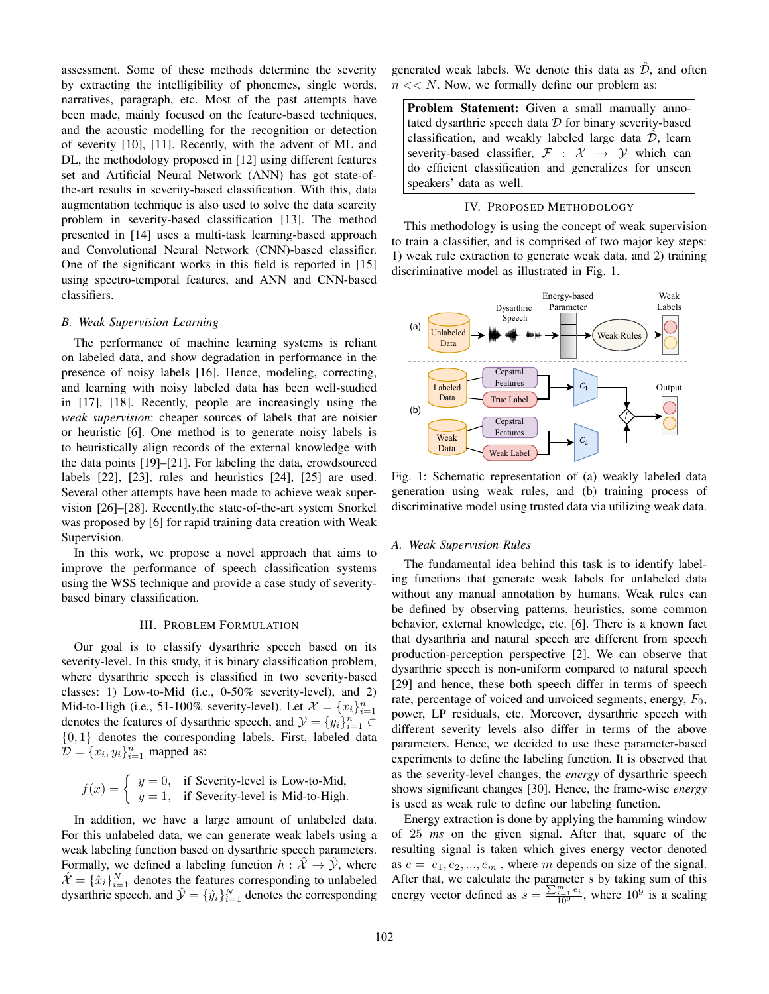assessment. Some of these methods determine the severity by extracting the intelligibility of phonemes, single words, narratives, paragraph, etc. Most of the past attempts have been made, mainly focused on the feature-based techniques, and the acoustic modelling for the recognition or detection of severity [10], [11]. Recently, with the advent of ML and DL, the methodology proposed in [12] using different features set and Artificial Neural Network (ANN) has got state-ofthe-art results in severity-based classification. With this, data augmentation technique is also used to solve the data scarcity problem in severity-based classification [13]. The method presented in [14] uses a multi-task learning-based approach and Convolutional Neural Network (CNN)-based classifier. One of the significant works in this field is reported in [15] using spectro-temporal features, and ANN and CNN-based classifiers.

### *B. Weak Supervision Learning*

The performance of machine learning systems is reliant on labeled data, and show degradation in performance in the presence of noisy labels [16]. Hence, modeling, correcting, and learning with noisy labeled data has been well-studied in [17], [18]. Recently, people are increasingly using the *weak supervision*: cheaper sources of labels that are noisier or heuristic [6]. One method is to generate noisy labels is to heuristically align records of the external knowledge with the data points [19]–[21]. For labeling the data, crowdsourced labels [22], [23], rules and heuristics [24], [25] are used. Several other attempts have been made to achieve weak supervision [26]–[28]. Recently,the state-of-the-art system Snorkel was proposed by [6] for rapid training data creation with Weak Supervision.

In this work, we propose a novel approach that aims to improve the performance of speech classification systems using the WSS technique and provide a case study of severitybased binary classification.

#### III. PROBLEM FORMULATION

Our goal is to classify dysarthric speech based on its severity-level. In this study, it is binary classification problem, where dysarthric speech is classified in two severity-based classes: 1) Low-to-Mid (i.e., 0-50% severity-level), and 2) Mid-to-High (i.e., 51-100% severity-level). Let  $\mathcal{X} = \{x_i\}_{i=1}^n$ denotes the features of dysarthric speech, and  $\mathcal{Y} = \{y_i\}_{i=1}^n \subset$  $\{0, 1\}$  denotes the corresponding labels. First, labeled data  $\mathcal{D} = \{x_i, y_i\}_{i=1}^n$  mapped as:

$$
f(x) = \begin{cases} y = 0, & \text{if Severity-level is Low-to-Mid,} \\ y = 1, & \text{if Severity-level is Mid-to-High.} \end{cases}
$$

In addition, we have a large amount of unlabeled data. For this unlabeled data, we can generate weak labels using a weak labeling function based on dysarthric speech parameters. Formally, we defined a labeling function  $h : \hat{\mathcal{X}} \to \hat{\mathcal{Y}}$ , where  $\hat{\mathcal{X}} = \{\hat{x}_i\}_{i=1}^N$  denotes the features corresponding to unlabeled dysarthric speech, and  $\hat{y} = \{\hat{y}_i\}_{i=1}^N$  denotes the corresponding generated weak labels. We denote this data as  $\hat{\mathcal{D}}$ , and often  $n \ll N$ . Now, we formally define our problem as:

Problem Statement: Given a small manually annotated dysarthric speech data  $D$  for binary severity-based classification, and weakly labeled large data  $\hat{\mathcal{D}}$ , learn severity-based classifier,  $\mathcal{F}$  :  $\mathcal{X} \rightarrow \mathcal{Y}$  which can do efficient classification and generalizes for unseen speakers' data as well.

# IV. PROPOSED METHODOLOGY

This methodology is using the concept of weak supervision to train a classifier, and is comprised of two major key steps: 1) weak rule extraction to generate weak data, and 2) training discriminative model as illustrated in Fig. 1.



Fig. 1: Schematic representation of (a) weakly labeled data generation using weak rules, and (b) training process of discriminative model using trusted data via utilizing weak data.

#### *A. Weak Supervision Rules*

The fundamental idea behind this task is to identify labeling functions that generate weak labels for unlabeled data without any manual annotation by humans. Weak rules can be defined by observing patterns, heuristics, some common behavior, external knowledge, etc. [6]. There is a known fact that dysarthria and natural speech are different from speech production-perception perspective [2]. We can observe that dysarthric speech is non-uniform compared to natural speech [29] and hence, these both speech differ in terms of speech rate, percentage of voiced and unvoiced segments, energy,  $F_0$ , power, LP residuals, etc. Moreover, dysarthric speech with different severity levels also differ in terms of the above parameters. Hence, we decided to use these parameter-based experiments to define the labeling function. It is observed that as the severity-level changes, the *energy* of dysarthric speech shows significant changes [30]. Hence, the frame-wise *energy* is used as weak rule to define our labeling function.

Energy extraction is done by applying the hamming window of 25 *ms* on the given signal. After that, square of the resulting signal is taken which gives energy vector denoted as  $e = [e_1, e_2, ..., e_m]$ , where m depends on size of the signal. After that, we calculate the parameter  $s$  by taking sum of this energy vector defined as  $s = \frac{\sum_{i=1}^{m} e_i}{10^9}$ , where  $10^9$  is a scaling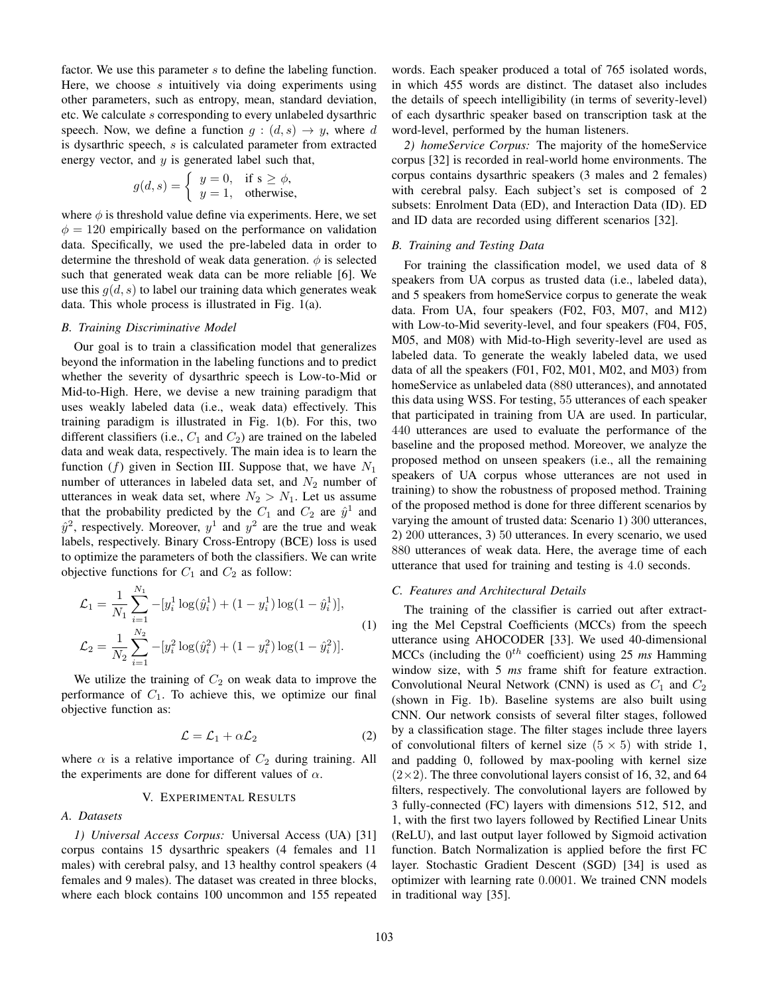factor. We use this parameter s to define the labeling function. Here, we choose s intuitively via doing experiments using other parameters, such as entropy, mean, standard deviation, etc. We calculate s corresponding to every unlabeled dysarthric speech. Now, we define a function  $g : (d, s) \rightarrow y$ , where d is dysarthric speech, s is calculated parameter from extracted energy vector, and  $y$  is generated label such that,

$$
g(d,s) = \begin{cases} y = 0, & \text{if } s \ge \phi, \\ y = 1, & \text{otherwise,} \end{cases}
$$

where  $\phi$  is threshold value define via experiments. Here, we set  $\phi = 120$  empirically based on the performance on validation data. Specifically, we used the pre-labeled data in order to determine the threshold of weak data generation.  $\phi$  is selected such that generated weak data can be more reliable [6]. We use this  $g(d, s)$  to label our training data which generates weak data. This whole process is illustrated in Fig. 1(a).

#### *B. Training Discriminative Model*

Our goal is to train a classification model that generalizes beyond the information in the labeling functions and to predict whether the severity of dysarthric speech is Low-to-Mid or Mid-to-High. Here, we devise a new training paradigm that uses weakly labeled data (i.e., weak data) effectively. This training paradigm is illustrated in Fig. 1(b). For this, two different classifiers (i.e.,  $C_1$  and  $C_2$ ) are trained on the labeled data and weak data, respectively. The main idea is to learn the function (f) given in Section III. Suppose that, we have  $N_1$ number of utterances in labeled data set, and  $N_2$  number of utterances in weak data set, where  $N_2 > N_1$ . Let us assume that the probability predicted by the  $C_1$  and  $C_2$  are  $\hat{y}^1$  and  $\hat{y}^2$ , respectively. Moreover,  $y^1$  and  $y^2$  are the true and weak labels, respectively. Binary Cross-Entropy (BCE) loss is used to optimize the parameters of both the classifiers. We can write objective functions for  $C_1$  and  $C_2$  as follow:

$$
\mathcal{L}_1 = \frac{1}{N_1} \sum_{i=1}^{N_1} -[y_i^1 \log(\hat{y}_i^1) + (1 - y_i^1) \log(1 - \hat{y}_i^1)],
$$
  
\n
$$
\mathcal{L}_2 = \frac{1}{N_2} \sum_{i=1}^{N_2} -[y_i^2 \log(\hat{y}_i^2) + (1 - y_i^2) \log(1 - \hat{y}_i^2)].
$$
\n(1)

We utilize the training of  $C_2$  on weak data to improve the performance of  $C_1$ . To achieve this, we optimize our final objective function as:

$$
\mathcal{L} = \mathcal{L}_1 + \alpha \mathcal{L}_2 \tag{2}
$$

where  $\alpha$  is a relative importance of  $C_2$  during training. All the experiments are done for different values of  $\alpha$ .

#### V. EXPERIMENTAL RESULTS

# *A. Datasets*

*1) Universal Access Corpus:* Universal Access (UA) [31] corpus contains 15 dysarthric speakers (4 females and 11 males) with cerebral palsy, and 13 healthy control speakers (4 females and 9 males). The dataset was created in three blocks, where each block contains 100 uncommon and 155 repeated

words. Each speaker produced a total of 765 isolated words, in which 455 words are distinct. The dataset also includes the details of speech intelligibility (in terms of severity-level) of each dysarthric speaker based on transcription task at the word-level, performed by the human listeners.

*2) homeService Corpus:* The majority of the homeService corpus [32] is recorded in real-world home environments. The corpus contains dysarthric speakers (3 males and 2 females) with cerebral palsy. Each subject's set is composed of 2 subsets: Enrolment Data (ED), and Interaction Data (ID). ED and ID data are recorded using different scenarios [32].

#### *B. Training and Testing Data*

For training the classification model, we used data of 8 speakers from UA corpus as trusted data (i.e., labeled data), and 5 speakers from homeService corpus to generate the weak data. From UA, four speakers (F02, F03, M07, and M12) with Low-to-Mid severity-level, and four speakers (F04, F05, M05, and M08) with Mid-to-High severity-level are used as labeled data. To generate the weakly labeled data, we used data of all the speakers (F01, F02, M01, M02, and M03) from homeService as unlabeled data (880 utterances), and annotated this data using WSS. For testing, 55 utterances of each speaker that participated in training from UA are used. In particular, 440 utterances are used to evaluate the performance of the baseline and the proposed method. Moreover, we analyze the proposed method on unseen speakers (i.e., all the remaining speakers of UA corpus whose utterances are not used in training) to show the robustness of proposed method. Training of the proposed method is done for three different scenarios by varying the amount of trusted data: Scenario 1) 300 utterances, 2) 200 utterances, 3) 50 utterances. In every scenario, we used 880 utterances of weak data. Here, the average time of each utterance that used for training and testing is 4.0 seconds.

#### *C. Features and Architectural Details*

The training of the classifier is carried out after extracting the Mel Cepstral Coefficients (MCCs) from the speech utterance using AHOCODER [33]. We used 40-dimensional MCCs (including the  $0^{th}$  coefficient) using 25  $ms$  Hamming window size, with 5 *ms* frame shift for feature extraction. Convolutional Neural Network (CNN) is used as  $C_1$  and  $C_2$ (shown in Fig. 1b). Baseline systems are also built using CNN. Our network consists of several filter stages, followed by a classification stage. The filter stages include three layers of convolutional filters of kernel size  $(5 \times 5)$  with stride 1, and padding 0, followed by max-pooling with kernel size  $(2\times2)$ . The three convolutional layers consist of 16, 32, and 64 filters, respectively. The convolutional layers are followed by 3 fully-connected (FC) layers with dimensions 512, 512, and 1, with the first two layers followed by Rectified Linear Units (ReLU), and last output layer followed by Sigmoid activation function. Batch Normalization is applied before the first FC layer. Stochastic Gradient Descent (SGD) [34] is used as optimizer with learning rate 0.0001. We trained CNN models in traditional way [35].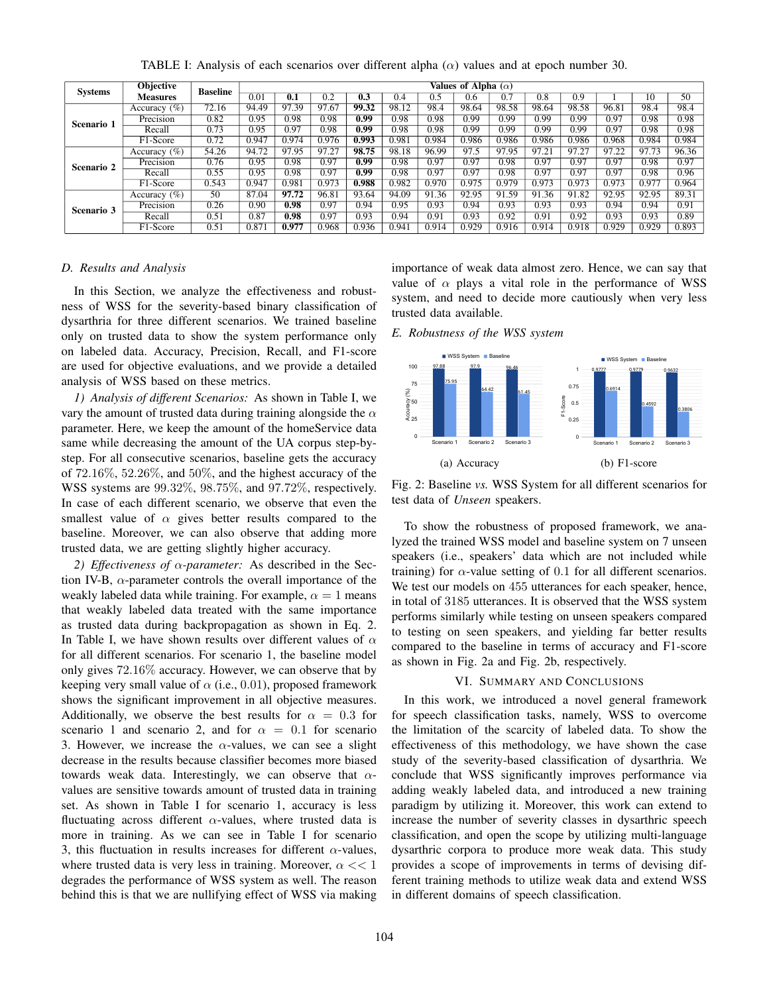| <b>Systems</b> | Objective       | <b>Baseline</b> | Values of Alpha $(\alpha)$ |       |       |       |       |       |       |       |       |       |       |                   |       |
|----------------|-----------------|-----------------|----------------------------|-------|-------|-------|-------|-------|-------|-------|-------|-------|-------|-------------------|-------|
|                | <b>Measures</b> |                 | 0.01                       | 0.1   | 0.2   | 0.3   | 0.4   | 0.5   | 0.6   | 0.7   | 0.8   | 0.9   |       | 10                | 50    |
| Scenario 1     | Accuracy $(\%)$ | 72.16           | 94.49                      | 97.39 | 97.67 | 99.32 | 98.12 | 98.4  | 98.64 | 98.58 | 98.64 | 98.58 | 96.81 | 98.4              | 98.4  |
|                | Precision       | 0.82            | 0.95                       | 0.98  | 0.98  | 0.99  | 0.98  | 0.98  | 0.99  | 0.99  | 0.99  | 0.99  | 0.97  | 0.98              | 0.98  |
|                | Recall          | 0.73            | 0.95                       | 0.97  | 0.98  | 0.99  | 0.98  | 0.98  | 0.99  | 0.99  | 0.99  | 0.99  | 0.97  | 0.98              | 0.98  |
|                | F1-Score        | 0.72            | 0.947                      | 0.974 | 0.976 | 0.993 | 0.981 | 0.984 | 0.986 | 0.986 | 0.986 | 0.986 | 0.968 | 0.984             | 0.984 |
| Scenario 2     | Accuracy $(\%)$ | 54.26           | 94.72                      | 97.95 | 97.27 | 98.75 | 98.18 | 96.99 | 97.5  | 97.95 | 97.21 | 97.27 | 97.22 | 97.73             | 96.36 |
|                | Precision       | 0.76            | 0.95                       | 0.98  | 0.97  | 0.99  | 0.98  | 0.97  | 0.97  | 0.98  | 0.97  | 0.97  | 0.97  | $\overline{0.98}$ | 0.97  |
|                | Recall          | 0.55            | 0.95                       | 0.98  | 0.97  | 0.99  | 0.98  | 0.97  | 0.97  | 0.98  | 0.97  | 0.97  | 0.97  | 0.98              | 0.96  |
|                | F1-Score        | 0.543           | 0.947                      | 0.981 | 0.973 | 0.988 | 0.982 | 0.970 | 0.975 | 0.979 | 0.973 | 0.973 | 0.973 | 0.977             | 0.964 |
| Scenario 3     | Accuracy $(\%)$ | 50              | 87.04                      | 97.72 | 96.81 | 93.64 | 94.09 | 91.36 | 92.95 | 91.59 | 91.36 | 91.82 | 92.95 | 92.95             | 89.31 |
|                | Precision       | 0.26            | 0.90                       | 0.98  | 0.97  | 0.94  | 0.95  | 0.93  | 0.94  | 0.93  | 0.93  | 0.93  | 0.94  | 0.94              | 0.91  |
|                | Recall          | 0.51            | 0.87                       | 0.98  | 0.97  | 0.93  | 0.94  | 0.91  | 0.93  | 0.92  | 0.91  | 0.92  | 0.93  | 0.93              | 0.89  |
|                | F1-Score        | 0.51            | 0.871                      | 0.977 | 0.968 | 0.936 | 0.941 | 0.914 | 0.929 | 0.916 | 0.914 | 0.918 | 0.929 | 0.929             | 0.893 |

TABLE I: Analysis of each scenarios over different alpha  $(\alpha)$  values and at epoch number 30.

## *D. Results and Analysis*

In this Section, we analyze the effectiveness and robustness of WSS for the severity-based binary classification of dysarthria for three different scenarios. We trained baseline only on trusted data to show the system performance only on labeled data. Accuracy, Precision, Recall, and F1-score are used for objective evaluations, and we provide a detailed analysis of WSS based on these metrics.

*1) Analysis of different Scenarios:* As shown in Table I, we vary the amount of trusted data during training alongside the  $\alpha$ parameter. Here, we keep the amount of the homeService data same while decreasing the amount of the UA corpus step-bystep. For all consecutive scenarios, baseline gets the accuracy of  $72.16\%, 52.26\%,$  and  $50\%$ , and the highest accuracy of the WSS systems are 99.32%, 98.75%, and 97.72%, respectively. In case of each different scenario, we observe that even the smallest value of  $\alpha$  gives better results compared to the baseline. Moreover, we can also observe that adding more trusted data, we are getting slightly higher accuracy.

*2) Effectiveness of* α*-parameter:* As described in the Section IV-B,  $\alpha$ -parameter controls the overall importance of the weakly labeled data while training. For example,  $\alpha = 1$  means that weakly labeled data treated with the same importance as trusted data during backpropagation as shown in Eq. 2. In Table I, we have shown results over different values of  $\alpha$ for all different scenarios. For scenario 1, the baseline model only gives 72.16% accuracy. However, we can observe that by keeping very small value of  $\alpha$  (i.e., 0.01), proposed framework shows the significant improvement in all objective measures. Additionally, we observe the best results for  $\alpha = 0.3$  for scenario 1 and scenario 2, and for  $\alpha = 0.1$  for scenario 3. However, we increase the  $\alpha$ -values, we can see a slight decrease in the results because classifier becomes more biased towards weak data. Interestingly, we can observe that  $\alpha$ values are sensitive towards amount of trusted data in training set. As shown in Table I for scenario 1, accuracy is less fluctuating across different  $\alpha$ -values, where trusted data is more in training. As we can see in Table I for scenario 3, this fluctuation in results increases for different  $\alpha$ -values, where trusted data is very less in training. Moreover,  $\alpha \ll 1$ degrades the performance of WSS system as well. The reason behind this is that we are nullifying effect of WSS via making

importance of weak data almost zero. Hence, we can say that value of  $\alpha$  plays a vital role in the performance of WSS system, and need to decide more cautiously when very less trusted data available.

*E. Robustness of the WSS system*



Fig. 2: Baseline *vs.* WSS System for all different scenarios for test data of *Unseen* speakers.

To show the robustness of proposed framework, we analyzed the trained WSS model and baseline system on 7 unseen speakers (i.e., speakers' data which are not included while training) for  $\alpha$ -value setting of 0.1 for all different scenarios. We test our models on 455 utterances for each speaker, hence, in total of 3185 utterances. It is observed that the WSS system performs similarly while testing on unseen speakers compared to testing on seen speakers, and yielding far better results compared to the baseline in terms of accuracy and F1-score as shown in Fig. 2a and Fig. 2b, respectively.

#### VI. SUMMARY AND CONCLUSIONS

In this work, we introduced a novel general framework for speech classification tasks, namely, WSS to overcome the limitation of the scarcity of labeled data. To show the effectiveness of this methodology, we have shown the case study of the severity-based classification of dysarthria. We conclude that WSS significantly improves performance via adding weakly labeled data, and introduced a new training paradigm by utilizing it. Moreover, this work can extend to increase the number of severity classes in dysarthric speech classification, and open the scope by utilizing multi-language dysarthric corpora to produce more weak data. This study provides a scope of improvements in terms of devising different training methods to utilize weak data and extend WSS in different domains of speech classification.